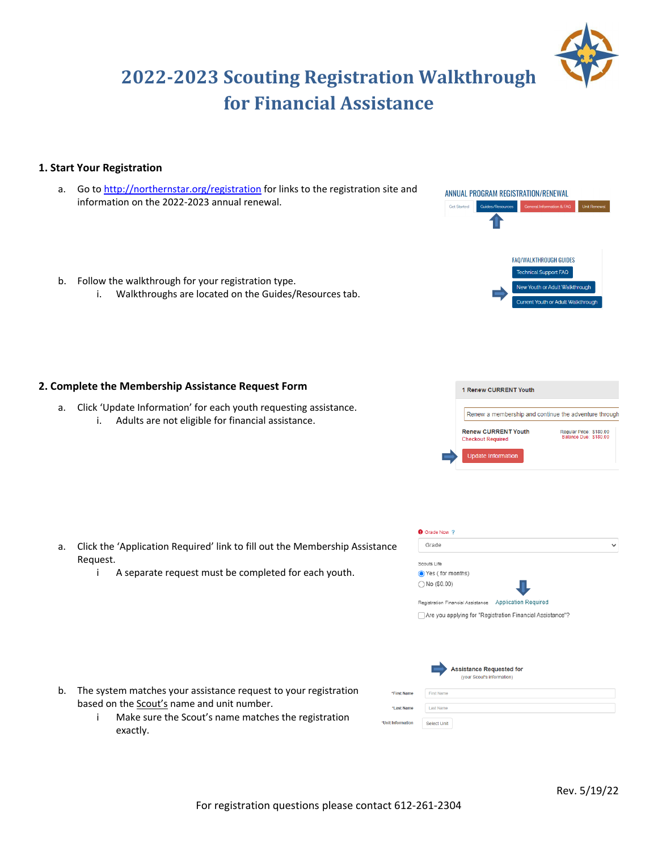

# **2022‐2023 Scouting Registration Walkthrough for Financial Assistance**

#### **1. Start Your Registration**

- a. Go to http://northernstar.org/registration for links to the registration site and information on the 2022‐2023 annual renewal.
- b. Follow the walkthrough for your registration type. i. Walkthroughs are located on the Guides/Resources tab.

#### **2. Complete the Membership Assistance Request Form**

a. Click 'Update Information' for each youth requesting assistance. i. Adults are not eligible for financial assistance.

- a. Click the 'Application Required' link to fill out the Membership Assistance Request.
	- i A separate request must be completed for each youth.

## Scouts Life ● Yes ( for months)  $\bigcap$  No (\$0.00) Registration Financial Assistance Application Required □ Are you applying for "Registration Financial Assistance"? **Assistance Requested for** (your Scout's information) \*First Name First Name \*Last Name Last Name

- b. The system matches your assistance request to your registration based on the **Scout's** name and unit number.
	- i Make sure the Scout's name matches the registration exactly.

\*Unit Information



ANNUAL PROGRAM REGISTRATION/RENEWAL

General Information & FAC

**FAO/WAI KTHROUGH GUIDES** echnical Support FAQ

**Guides/Resources** 

Get Started

**O** Grade Now ? Grade

Select Unit

 $\checkmark$